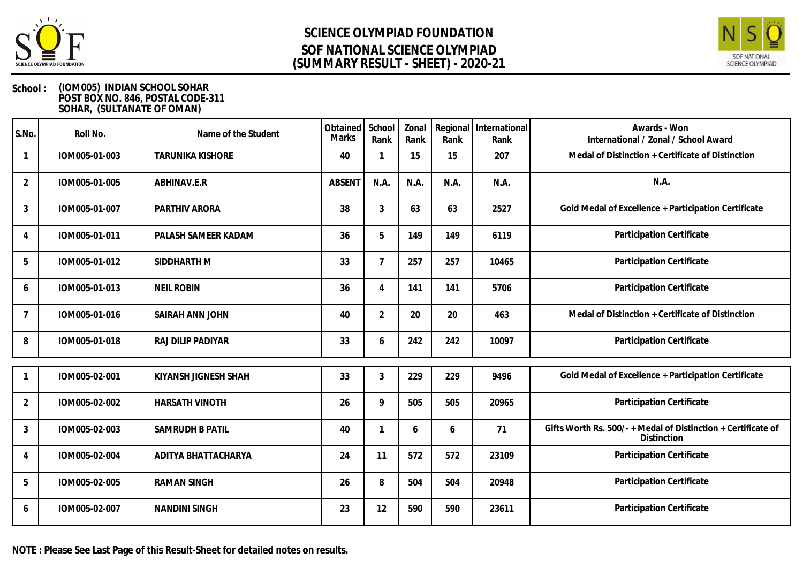



### **School : (IOM005) INDIAN SCHOOL SOHAR POST BOX NO. 846, POSTAL CODE-311 SOHAR, (SULTANATE OF OMAN)**

| S.No.          | Roll No.      | Name of the Student      | Obtained School<br>Marks | Rank           | Zonal<br>Rank | Rank | Regional   International<br>Rank | Awards - Won<br>International / Zonal / School Award                         |
|----------------|---------------|--------------------------|--------------------------|----------------|---------------|------|----------------------------------|------------------------------------------------------------------------------|
|                | IOM005-01-003 | <b>TARUNIKA KISHORE</b>  | 40                       |                | 15            | 15   | 207                              | Medal of Distinction + Certificate of Distinction                            |
| $\overline{2}$ | IOM005-01-005 | ABHINAV.E.R              | <b>ABSENT</b>            | N.A.           | N.A.          | N.A. | N.A.                             | N.A.                                                                         |
| $\mathbf{3}$   | IOM005-01-007 | PARTHIV ARORA            | 38                       | 3              | 63            | 63   | 2527                             | Gold Medal of Excellence + Participation Certificate                         |
| $\overline{A}$ | IOM005-01-011 | PALASH SAMEER KADAM      | 36                       | 5              | 149           | 149  | 6119                             | Participation Certificate                                                    |
| 5              | IOM005-01-012 | SIDDHARTH M              | 33                       | 7              | 257           | 257  | 10465                            | Participation Certificate                                                    |
| 6              | IOM005-01-013 | <b>NEIL ROBIN</b>        | 36                       | $\overline{A}$ | 141           | 141  | 5706                             | Participation Certificate                                                    |
| $\overline{7}$ | IOM005-01-016 | SAIRAH ANN JOHN          | 40                       | $\overline{2}$ | 20            | 20   | 463                              | Medal of Distinction + Certificate of Distinction                            |
| 8              | IOM005-01-018 | <b>RAJ DILIP PADIYAR</b> | 33                       | 6              | 242           | 242  | 10097                            | Participation Certificate                                                    |
|                | IOM005-02-001 | KIYANSH JIGNESH SHAH     | 33                       | $\mathfrak{Z}$ | 229           | 229  | 9496                             | Gold Medal of Excellence + Participation Certificate                         |
| $\overline{2}$ | IOM005-02-002 | <b>HARSATH VINOTH</b>    | 26                       | 9              | 505           | 505  | 20965                            | Participation Certificate                                                    |
| 3              | IOM005-02-003 | SAMRUDH B PATIL          | 40                       |                | 6             | 6    | 71                               | Gifts Worth Rs. 500/- + Medal of Distinction + Certificate of<br>Distinction |
| 4              | IOM005-02-004 | ADITYA BHATTACHARYA      | 24                       | 11             | 572           | 572  | 23109                            | Participation Certificate                                                    |
| 5              | IOM005-02-005 | <b>RAMAN SINGH</b>       | 26                       | 8              | 504           | 504  | 20948                            | Participation Certificate                                                    |
| 6              | IOM005-02-007 | <b>NANDINI SINGH</b>     | 23                       | 12             | 590           | 590  | 23611                            | Participation Certificate                                                    |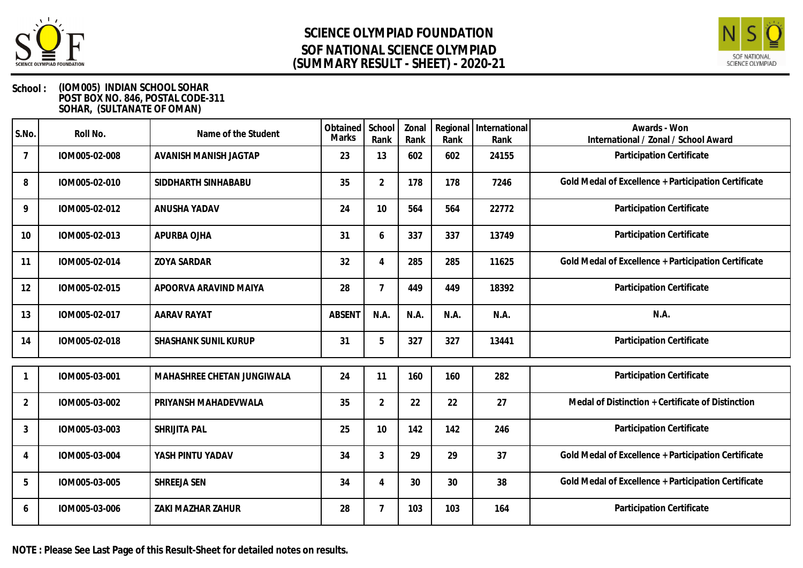



### **School : (IOM005) INDIAN SCHOOL SOHAR POST BOX NO. 846, POSTAL CODE-311 SOHAR, (SULTANATE OF OMAN)**

| S.No.          | Roll No.      | Name of the Student        | Obtained<br>Marks | School<br>Rank            | Zonal<br>Rank | Rank | Regional International<br>Rank | Awards - Won<br>International / Zonal / School Award |
|----------------|---------------|----------------------------|-------------------|---------------------------|---------------|------|--------------------------------|------------------------------------------------------|
| $\overline{7}$ | IOM005-02-008 | AVANISH MANISH JAGTAP      | 23                | 13                        | 602           | 602  | 24155                          | Participation Certificate                            |
| 8              | IOM005-02-010 | SIDDHARTH SINHABABU        | 35                | 2                         | 178           | 178  | 7246                           | Gold Medal of Excellence + Participation Certificate |
| 9              | IOM005-02-012 | ANUSHA YADAV               | 24                | 10                        | 564           | 564  | 22772                          | Participation Certificate                            |
| 10             | IOM005-02-013 | APURBA OJHA                | 31                | 6                         | 337           | 337  | 13749                          | Participation Certificate                            |
| 11             | IOM005-02-014 | <b>ZOYA SARDAR</b>         | 32                | $\boldsymbol{\varLambda}$ | 285           | 285  | 11625                          | Gold Medal of Excellence + Participation Certificate |
| 12             | IOM005-02-015 | APOORVA ARAVIND MAIYA      | 28                | $\overline{7}$            | 449           | 449  | 18392                          | Participation Certificate                            |
| 13             | IOM005-02-017 | <b>AARAV RAYAT</b>         | <b>ABSENT</b>     | N.A.                      | N.A.          | N.A. | N.A.                           | N.A.                                                 |
| 14             | IOM005-02-018 | SHASHANK SUNIL KURUP       | 31                | 5                         | 327           | 327  | 13441                          | Participation Certificate                            |
|                | IOM005-03-001 | MAHASHREE CHETAN JUNGIWALA | 24                | 11                        | 160           | 160  | 282                            | Participation Certificate                            |
| $\overline{2}$ | IOM005-03-002 | PRIYANSH MAHADEVWALA       | 35                | $\overline{2}$            | 22            | 22   | 27                             | Medal of Distinction + Certificate of Distinction    |
| 3              | IOM005-03-003 | SHRIJITA PAL               | 25                | 10                        | 142           | 142  | 246                            | Participation Certificate                            |
| 4              | IOM005-03-004 | YASH PINTU YADAV           | 34                | 3                         | 29            | 29   | 37                             | Gold Medal of Excellence + Participation Certificate |
| 5              | IOM005-03-005 | SHREEJA SEN                | 34                |                           | 30            | 30   | 38                             | Gold Medal of Excellence + Participation Certificate |
| 6              | IOM005-03-006 | ZAKI MAZHAR ZAHUR          | 28                |                           | 103           | 103  | 164                            | Participation Certificate                            |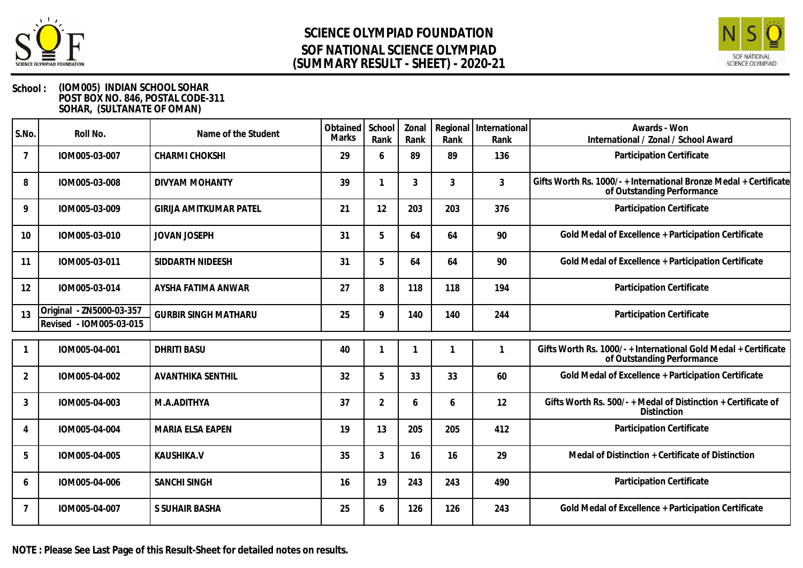



| S.No.          | Roll No.                                            | Name of the Student           | Obtained  <br><b>Marks</b> | School<br>Rank | Zonal<br>Rank | Rank           | Regional   International<br>Rank | Awards - Won<br>International / Zonal / School Award                                            |
|----------------|-----------------------------------------------------|-------------------------------|----------------------------|----------------|---------------|----------------|----------------------------------|-------------------------------------------------------------------------------------------------|
| $\overline{7}$ | IOM005-03-007                                       | <b>CHARMI CHOKSHI</b>         | 29                         | 6              | 89            | 89             | 136                              | Participation Certificate                                                                       |
| 8              | IOM005-03-008                                       | <b>DIVYAM MOHANTY</b>         | 39                         |                | 3             | $\mathfrak{Z}$ | $\mathbf{3}$                     | Gifts Worth Rs. 1000/- + International Bronze Medal + Certificate<br>of Outstanding Performance |
| 9              | IOM005-03-009                                       | <b>GIRIJA AMITKUMAR PATEL</b> | 21                         | 12             | 203           | 203            | 376                              | Participation Certificate                                                                       |
| 10             | IOM005-03-010                                       | <b>JOVAN JOSEPH</b>           | 31                         | 5              | 64            | 64             | 90                               | Gold Medal of Excellence + Participation Certificate                                            |
| 11             | IOM005-03-011                                       | SIDDARTH NIDEESH              | 31                         | 5              | 64            | 64             | 90                               | Gold Medal of Excellence + Participation Certificate                                            |
| 12             | IOM005-03-014                                       | AYSHA FATIMA ANWAR            | 27                         | 8              | 118           | 118            | 194                              | Participation Certificate                                                                       |
| 13             | Original - ZN5000-03-357<br>Revised - IOM005-03-015 | <b>GURBIR SINGH MATHARU</b>   | 25                         | 9              | 140           | 140            | 244                              | Participation Certificate                                                                       |
|                | IOM005-04-001                                       | <b>DHRITI BASU</b>            | 40                         |                |               |                |                                  | Gifts Worth Rs. 1000/-+International Gold Medal + Certificate<br>of Outstanding Performance     |
| 2              | IOM005-04-002                                       | <b>AVANTHIKA SENTHIL</b>      | 32                         | 5              | 33            | 33             | 60                               | Gold Medal of Excellence + Participation Certificate                                            |
| 3              | IOM005-04-003                                       | M.A.ADITHYA                   | 37                         | $\overline{2}$ | 6             | 6              | 12                               | Gifts Worth Rs. 500/- + Medal of Distinction + Certificate of<br>Distinction                    |
|                | IOM005-04-004                                       | MARIA ELSA EAPEN              | 19                         | 13             | 205           | 205            | 412                              | Participation Certificate                                                                       |
| 5              | IOM005-04-005                                       | KAUSHIKA.V                    | 35                         | 3              | 16            | 16             | 29                               | Medal of Distinction + Certificate of Distinction                                               |
| 6              | IOM005-04-006                                       | <b>SANCHI SINGH</b>           | 16                         | 19             | 243           | 243            | 490                              | Participation Certificate                                                                       |
| $\overline{7}$ | IOM005-04-007                                       | S SUHAIR BASHA                | 25                         | 6              | 126           | 126            | 243                              | Gold Medal of Excellence + Participation Certificate                                            |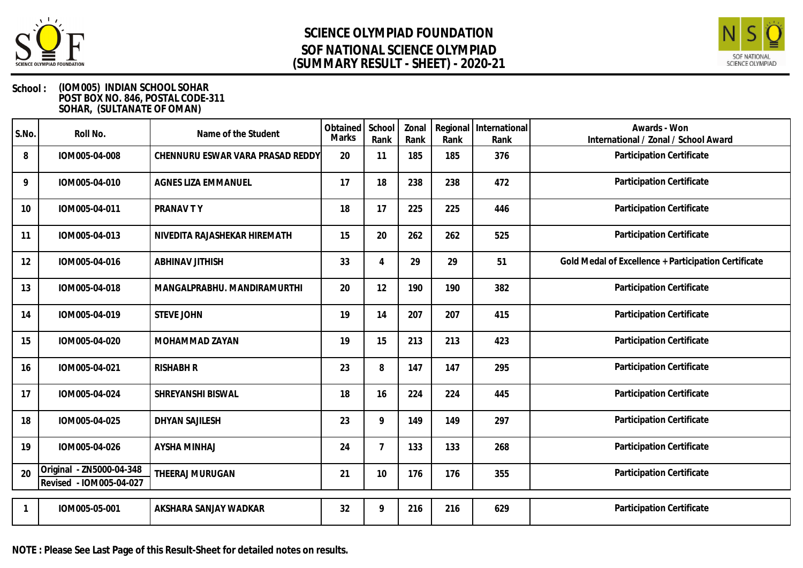



| S.No. | Roll No.                                            | Name of the Student              | Obtained<br>Marks | School<br>Rank | Zonal<br>Rank | Rank | Regional   International<br>Rank | Awards - Won<br>International / Zonal / School Award |
|-------|-----------------------------------------------------|----------------------------------|-------------------|----------------|---------------|------|----------------------------------|------------------------------------------------------|
| 8     | IOM005-04-008                                       | CHENNURU ESWAR VARA PRASAD REDDY | 20                | 11             | 185           | 185  | 376                              | Participation Certificate                            |
| 9     | IOM005-04-010                                       | <b>AGNES LIZA EMMANUEL</b>       | 17                | 18             | 238           | 238  | 472                              | Participation Certificate                            |
| 10    | IOM005-04-011                                       | PRANAV TY                        | 18                | 17             | 225           | 225  | 446                              | Participation Certificate                            |
| 11    | IOM005-04-013                                       | NIVEDITA RAJASHEKAR HIREMATH     | 15                | 20             | 262           | 262  | 525                              | Participation Certificate                            |
| 12    | IOM005-04-016                                       | <b>ABHINAV JITHISH</b>           | 33                |                | 29            | 29   | 51                               | Gold Medal of Excellence + Participation Certificate |
| 13    | IOM005-04-018                                       | MANGALPRABHU. MANDIRAMURTHI      | 20                | 12             | 190           | 190  | 382                              | Participation Certificate                            |
| 14    | IOM005-04-019                                       | <b>STEVE JOHN</b>                | 19                | 14             | 207           | 207  | 415                              | Participation Certificate                            |
| 15    | IOM005-04-020                                       | MOHAMMAD ZAYAN                   | 19                | 15             | 213           | 213  | 423                              | Participation Certificate                            |
| 16    | IOM005-04-021                                       | <b>RISHABH R</b>                 | 23                | 8              | 147           | 147  | 295                              | Participation Certificate                            |
| 17    | IOM005-04-024                                       | SHREYANSHI BISWAL                | 18                | 16             | 224           | 224  | 445                              | Participation Certificate                            |
| 18    | IOM005-04-025                                       | <b>DHYAN SAJILESH</b>            | 23                | 9              | 149           | 149  | 297                              | Participation Certificate                            |
| 19    | IOM005-04-026                                       | <b>AYSHA MINHAJ</b>              | 24                | 7              | 133           | 133  | 268                              | Participation Certificate                            |
| 20    | Original - ZN5000-04-348<br>Revised - IOM005-04-027 | THEERAJ MURUGAN                  | 21                | 10             | 176           | 176  | 355                              | Participation Certificate                            |
|       | IOM005-05-001                                       | AKSHARA SANJAY WADKAR            | 32                | 9              | 216           | 216  | 629                              | Participation Certificate                            |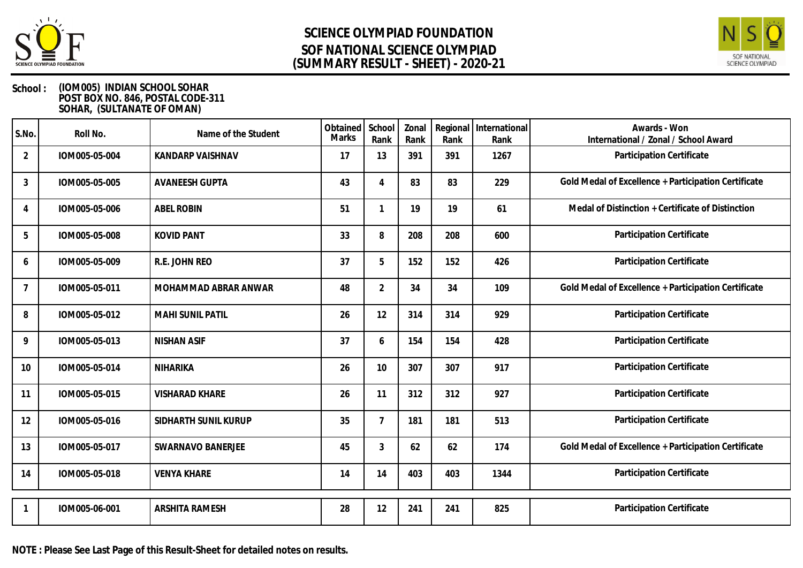



| S.No.          | Roll No.      | Name of the Student     | Obtained  <br>Marks | School<br>Rank | Zonal<br>Rank | Regional<br>Rank | International<br>Rank | Awards - Won<br>International / Zonal / School Award |
|----------------|---------------|-------------------------|---------------------|----------------|---------------|------------------|-----------------------|------------------------------------------------------|
| $\overline{2}$ | IOM005-05-004 | <b>KANDARP VAISHNAV</b> | 17                  | 13             | 391           | 391              | 1267                  | Participation Certificate                            |
| 3              | IOM005-05-005 | <b>AVANEESH GUPTA</b>   | 43                  | $\Delta$       | 83            | 83               | 229                   | Gold Medal of Excellence + Participation Certificate |
| 4              | IOM005-05-006 | <b>ABEL ROBIN</b>       | 51                  |                | 19            | 19               | 61                    | Medal of Distinction + Certificate of Distinction    |
| 5              | IOM005-05-008 | <b>KOVID PANT</b>       | 33                  | 8              | 208           | 208              | 600                   | Participation Certificate                            |
| 6              | IOM005-05-009 | R.E. JOHN REO           | 37                  | 5              | 152           | 152              | 426                   | Participation Certificate                            |
| $\overline{7}$ | IOM005-05-011 | MOHAMMAD ABRAR ANWAR    | 48                  | $\overline{2}$ | 34            | 34               | 109                   | Gold Medal of Excellence + Participation Certificate |
| 8              | IOM005-05-012 | <b>MAHI SUNIL PATIL</b> | 26                  | 12             | 314           | 314              | 929                   | Participation Certificate                            |
| 9              | IOM005-05-013 | <b>NISHAN ASIF</b>      | 37                  | 6              | 154           | 154              | 428                   | Participation Certificate                            |
| 10             | IOM005-05-014 | NIHARIKA                | 26                  | 10             | 307           | 307              | 917                   | Participation Certificate                            |
| 11             | IOM005-05-015 | <b>VISHARAD KHARE</b>   | 26                  | 11             | 312           | 312              | 927                   | Participation Certificate                            |
| 12             | IOM005-05-016 | SIDHARTH SUNIL KURUP    | 35                  | 7              | 181           | 181              | 513                   | Participation Certificate                            |
| 13             | IOM005-05-017 | SWARNAVO BANERJEE       | 45                  | $\mathfrak{Z}$ | 62            | 62               | 174                   | Gold Medal of Excellence + Participation Certificate |
| 14             | IOM005-05-018 | <b>VENYA KHARE</b>      | 14                  | 14             | 403           | 403              | 1344                  | Participation Certificate                            |
|                | IOM005-06-001 | <b>ARSHITA RAMESH</b>   | 28                  | 12             | 241           | 241              | 825                   | Participation Certificate                            |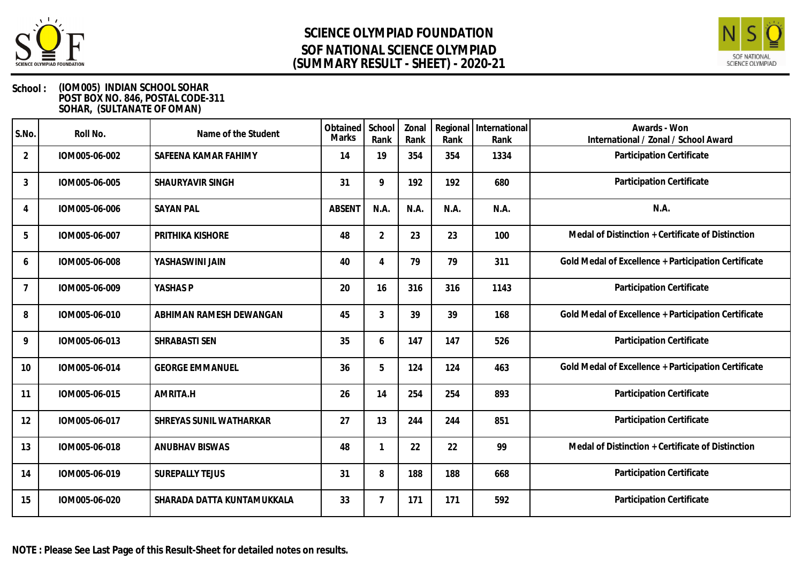



| S.No.          | Roll No.      | Name of the Student        | Obtained  <br><b>Marks</b> | School<br>Rank | Zonal<br>Rank | Rank | Regional   International<br>Rank | Awards - Won<br>International / Zonal / School Award |
|----------------|---------------|----------------------------|----------------------------|----------------|---------------|------|----------------------------------|------------------------------------------------------|
| $\overline{2}$ | IOM005-06-002 | SAFEENA KAMAR FAHIMY       | 14                         | 19             | 354           | 354  | 1334                             | Participation Certificate                            |
| 3              | IOM005-06-005 | SHAURYAVIR SINGH           | 31                         | 9              | 192           | 192  | 680                              | Participation Certificate                            |
| 4              | IOM005-06-006 | <b>SAYAN PAL</b>           | <b>ABSENT</b>              | N.A.           | N.A.          | N.A. | N.A.                             | N.A.                                                 |
| 5              | IOM005-06-007 | PRITHIKA KISHORE           | 48                         | $\overline{2}$ | 23            | 23   | 100                              | Medal of Distinction + Certificate of Distinction    |
| 6              | IOM005-06-008 | YASHASWINI JAIN            | 40                         |                | 79            | 79   | 311                              | Gold Medal of Excellence + Participation Certificate |
| $\overline{7}$ | IOM005-06-009 | YASHAS P                   | 20                         | 16             | 316           | 316  | 1143                             | Participation Certificate                            |
| 8              | IOM005-06-010 | ABHIMAN RAMESH DEWANGAN    | 45                         | 3              | 39            | 39   | 168                              | Gold Medal of Excellence + Participation Certificate |
| 9              | IOM005-06-013 | SHRABASTI SEN              | 35                         | 6              | 147           | 147  | 526                              | Participation Certificate                            |
| 10             | IOM005-06-014 | <b>GEORGE EMMANUEL</b>     | 36                         | 5              | 124           | 124  | 463                              | Gold Medal of Excellence + Participation Certificate |
| 11             | IOM005-06-015 | AMRITA.H                   | 26                         | 14             | 254           | 254  | 893                              | Participation Certificate                            |
| 12             | IOM005-06-017 | SHREYAS SUNIL WATHARKAR    | 27                         | 13             | 244           | 244  | 851                              | Participation Certificate                            |
| 13             | IOM005-06-018 | <b>ANUBHAV BISWAS</b>      | 48                         |                | 22            | 22   | 99                               | Medal of Distinction + Certificate of Distinction    |
| 14             | IOM005-06-019 | <b>SUREPALLY TEJUS</b>     | 31                         | 8              | 188           | 188  | 668                              | Participation Certificate                            |
| 15             | IOM005-06-020 | SHARADA DATTA KUNTAMUKKALA | 33                         |                | 171           | 171  | 592                              | Participation Certificate                            |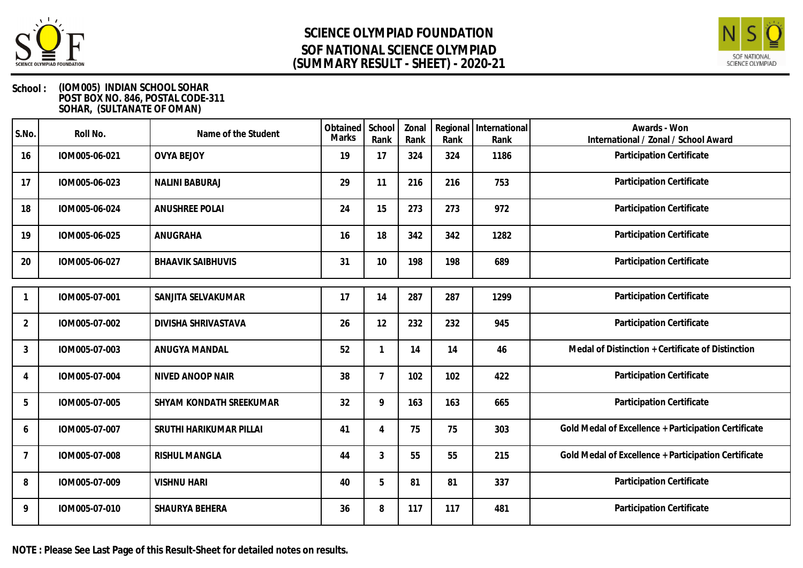



| S.No.          | Roll No.      | Name of the Student      | Obtained<br>Marks | School<br>Rank              | Zonal<br>Rank | Regional<br>Rank | International<br>Rank | Awards - Won<br>International / Zonal / School Award |
|----------------|---------------|--------------------------|-------------------|-----------------------------|---------------|------------------|-----------------------|------------------------------------------------------|
| 16             | IOM005-06-021 | <b>OVYA BEJOY</b>        | 19                | 17                          | 324           | 324              | 1186                  | Participation Certificate                            |
| 17             | IOM005-06-023 | <b>NALINI BABURAJ</b>    | 29                | 11                          | 216           | 216              | 753                   | Participation Certificate                            |
| 18             | IOM005-06-024 | <b>ANUSHREE POLAI</b>    | 24                | 15                          | 273           | 273              | 972                   | Participation Certificate                            |
| 19             | IOM005-06-025 | ANUGRAHA                 | 16                | 18                          | 342           | 342              | 1282                  | Participation Certificate                            |
| 20             | IOM005-06-027 | <b>BHAAVIK SAIBHUVIS</b> | 31                | 10                          | 198           | 198              | 689                   | Participation Certificate                            |
|                | IOM005-07-001 | SANJITA SELVAKUMAR       | 17                | 14                          | 287           | 287              | 1299                  | Participation Certificate                            |
| $\overline{2}$ | IOM005-07-002 | DIVISHA SHRIVASTAVA      | 26                | 12                          | 232           | 232              | 945                   | Participation Certificate                            |
| 3              | IOM005-07-003 | ANUGYA MANDAL            | 52                |                             | 14            | 14               | 46                    | Medal of Distinction + Certificate of Distinction    |
| 4              | IOM005-07-004 | NIVED ANOOP NAIR         | 38                | $\overline{7}$              | 102           | 102              | 422                   | Participation Certificate                            |
| 5              | IOM005-07-005 | SHYAM KONDATH SREEKUMAR  | 32                | 9                           | 163           | 163              | 665                   | Participation Certificate                            |
| 6              | IOM005-07-007 | SRUTHI HARIKUMAR PILLAI  | 41                | $\boldsymbol{\vartriangle}$ | 75            | 75               | 303                   | Gold Medal of Excellence + Participation Certificate |
| 7              | IOM005-07-008 | <b>RISHUL MANGLA</b>     | 44                | 3                           | 55            | 55               | 215                   | Gold Medal of Excellence + Participation Certificate |
| 8              | IOM005-07-009 | <b>VISHNU HARI</b>       | 40                | 5                           | 81            | 81               | 337                   | Participation Certificate                            |
| 9              | IOM005-07-010 | SHAURYA BEHERA           | 36                | 8                           | 117           | 117              | 481                   | Participation Certificate                            |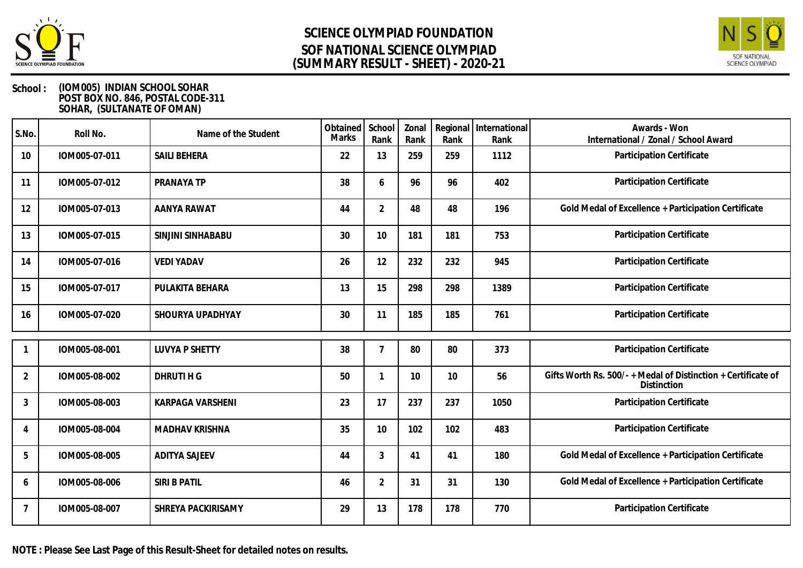



### **School : (IOM005) INDIAN SCHOOL SOHAR POST BOX NO. 846, POSTAL CODE-311 SOHAR, (SULTANATE OF OMAN)**

| S.No.          | Roll No.      | Name of the Student   | Obtained<br>Marks | School<br>Rank | Zonal<br>Rank | Regional<br>Rank | International<br>Rank | Awards - Won<br>International / Zonal / School Award                       |
|----------------|---------------|-----------------------|-------------------|----------------|---------------|------------------|-----------------------|----------------------------------------------------------------------------|
| 10             | IOM005-07-011 | <b>SAILI BEHERA</b>   | 22                | 13             | 259           | 259              | 1112                  | Participation Certificate                                                  |
| 11             | IOM005-07-012 | PRANAYA TP            | 38                | 6              | 96            | 96               | 402                   | Participation Certificate                                                  |
| 12             | IOM005-07-013 | AANYA RAWAT           | 44                | $\overline{2}$ | 48            | 48               | 196                   | Gold Medal of Excellence + Participation Certificate                       |
| 13             | IOM005-07-015 | SINJINI SINHABABU     | 30                | 10             | 181           | 181              | 753                   | Participation Certificate                                                  |
| 14             | IOM005-07-016 | <b>VEDI YADAV</b>     | 26                | 12             | 232           | 232              | 945                   | Participation Certificate                                                  |
| 15             | IOM005-07-017 | PULAKITA BEHARA       | 13                | 15             | 298           | 298              | 1389                  | Participation Certificate                                                  |
| 16             | IOM005-07-020 | SHOURYA UPADHYAY      | 30                | 11             | 185           | 185              | 761                   | Participation Certificate                                                  |
|                | IOM005-08-001 | <b>LUVYA P SHETTY</b> | 38                | 7              | 80            | 80               | 373                   | Participation Certificate                                                  |
| $\overline{2}$ | IOM005-08-002 | DHRUTI H G            | 50                |                | 10            | 10               | 56                    | Gifts Worth Rs. 500/-+Medal of Distinction + Certificate of<br>Distinction |
| 3              | IOM005-08-003 | KARPAGA VARSHENI      | 23                | 17             | 237           | 237              | 1050                  | Participation Certificate                                                  |
| 4              | IOM005-08-004 | <b>MADHAV KRISHNA</b> | 35                | 10             | 102           | 102              | 483                   | Participation Certificate                                                  |
| 5              | IOM005-08-005 | <b>ADITYA SAJEEV</b>  | 44                | 3              | 41            | 41               | 180                   | Gold Medal of Excellence + Participation Certificate                       |
| 6              | IOM005-08-006 | SIRI B PATIL          | 46                | $\overline{2}$ | 31            | 31               | 130                   | Gold Medal of Excellence + Participation Certificate                       |
| 7              | IOM005-08-007 | SHREYA PACKIRISAMY    | 29                | 13             | 178           | 178              | 770                   | Participation Certificate                                                  |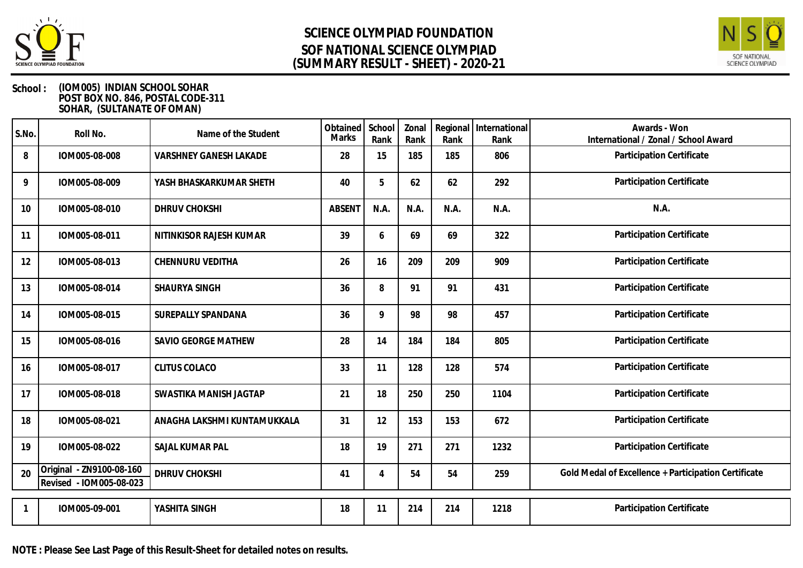



### **School : (IOM005) INDIAN SCHOOL SOHAR POST BOX NO. 846, POSTAL CODE-311 SOHAR, (SULTANATE OF OMAN)**

| S.No. | Roll No.                                            | Name of the Student         | Obtained School<br><b>Marks</b> | Rank | Zonal<br>Rank | Rank | Regional International<br>Rank | Awards - Won<br>International / Zonal / School Award |
|-------|-----------------------------------------------------|-----------------------------|---------------------------------|------|---------------|------|--------------------------------|------------------------------------------------------|
| 8     | IOM005-08-008                                       | VARSHNEY GANESH LAKADE      | 28                              | 15   | 185           | 185  | 806                            | Participation Certificate                            |
| 9     | IOM005-08-009                                       | YASH BHASKARKUMAR SHETH     | 40                              | 5    | 62            | 62   | 292                            | Participation Certificate                            |
| 10    | IOM005-08-010                                       | <b>DHRUV CHOKSHI</b>        | <b>ABSENT</b>                   | N.A. | N.A.          | N.A. | N.A.                           | N.A.                                                 |
| 11    | IOM005-08-011                                       | NITINKISOR RAJESH KUMAR     | 39                              | 6    | 69            | 69   | 322                            | Participation Certificate                            |
| 12    | IOM005-08-013                                       | CHENNURU VEDITHA            | 26                              | 16   | 209           | 209  | 909                            | Participation Certificate                            |
| 13    | IOM005-08-014                                       | SHAURYA SINGH               | 36                              | 8    | 91            | 91   | 431                            | Participation Certificate                            |
| 14    | IOM005-08-015                                       | SUREPALLY SPANDANA          | 36                              | 9    | 98            | 98   | 457                            | Participation Certificate                            |
| 15    | IOM005-08-016                                       | SAVIO GEORGE MATHEW         | 28                              | 14   | 184           | 184  | 805                            | Participation Certificate                            |
| 16    | IOM005-08-017                                       | <b>CLITUS COLACO</b>        | 33                              | 11   | 128           | 128  | 574                            | Participation Certificate                            |
| 17    | IOM005-08-018                                       | SWASTIKA MANISH JAGTAP      | 21                              | 18   | 250           | 250  | 1104                           | Participation Certificate                            |
| 18    | IOM005-08-021                                       | ANAGHA LAKSHMI KUNTAMUKKALA | 31                              | 12   | 153           | 153  | 672                            | Participation Certificate                            |
| 19    | IOM005-08-022                                       | SAJAL KUMAR PAL             | 18                              | 19   | 271           | 271  | 1232                           | Participation Certificate                            |
| 20    | Original - ZN9100-08-160<br>Revised - IOM005-08-023 | DHRUV CHOKSHI               | 41                              | 4    | 54            | 54   | 259                            | Gold Medal of Excellence + Participation Certificate |
|       | IOM005-09-001                                       | YASHITA SINGH               | 18                              | 11   | 214           | 214  | 1218                           | Participation Certificate                            |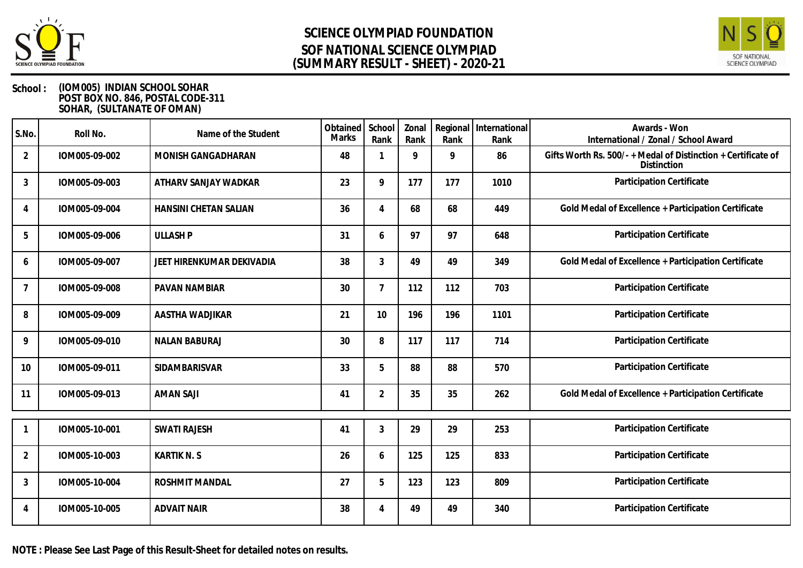



### **School : (IOM005) INDIAN SCHOOL SOHAR POST BOX NO. 846, POSTAL CODE-311 SOHAR, (SULTANATE OF OMAN)**

| S.No.          | Roll No.      | Name of the Student          | Obtained School<br><b>Marks</b> | Rank           | Zonal<br>Rank | Rank | Regional   International<br>Rank | Awards - Won<br>International / Zonal / School Award                         |
|----------------|---------------|------------------------------|---------------------------------|----------------|---------------|------|----------------------------------|------------------------------------------------------------------------------|
| $\overline{2}$ | IOM005-09-002 | MONISH GANGADHARAN           | 48                              |                | 9             | 9    | 86                               | Gifts Worth Rs. 500/- + Medal of Distinction + Certificate of<br>Distinction |
| $\mathbf{3}$   | IOM005-09-003 | ATHARV SANJAY WADKAR         | 23                              | 9              | 177           | 177  | 1010                             | Participation Certificate                                                    |
| 4              | IOM005-09-004 | <b>HANSINI CHETAN SALIAN</b> | 36                              | 4              | 68            | 68   | 449                              | Gold Medal of Excellence + Participation Certificate                         |
| 5              | IOM005-09-006 | <b>ULLASH P</b>              | 31                              | 6              | 97            | 97   | 648                              | Participation Certificate                                                    |
| 6              | IOM005-09-007 | JEET HIRENKUMAR DEKIVADIA    | 38                              | 3              | 49            | 49   | 349                              | Gold Medal of Excellence + Participation Certificate                         |
| 7              | IOM005-09-008 | <b>PAVAN NAMBIAR</b>         | 30                              | 7              | 112           | 112  | 703                              | Participation Certificate                                                    |
| 8              | IOM005-09-009 | AASTHA WADJIKAR              | 21                              | 10             | 196           | 196  | 1101                             | Participation Certificate                                                    |
| 9              | IOM005-09-010 | <b>NALAN BABURAJ</b>         | 30                              | 8              | 117           | 117  | 714                              | Participation Certificate                                                    |
| 10             | IOM005-09-011 | <b>SIDAMBARISVAR</b>         | 33                              | 5              | 88            | 88   | 570                              | Participation Certificate                                                    |
| 11             | IOM005-09-013 | <b>AMAN SAJI</b>             | 41                              | $\overline{2}$ | 35            | 35   | 262                              | Gold Medal of Excellence + Participation Certificate                         |
|                | IOM005-10-001 | <b>SWATI RAJESH</b>          | 41                              | 3              | 29            | 29   | 253                              | Participation Certificate                                                    |
| $\overline{2}$ | IOM005-10-003 | <b>KARTIK N. S</b>           | 26                              | 6              | 125           | 125  | 833                              | Participation Certificate                                                    |
| $\mathbf{3}$   | IOM005-10-004 | <b>ROSHMIT MANDAL</b>        | 27                              | 5              | 123           | 123  | 809                              | Participation Certificate                                                    |
| 4              | IOM005-10-005 | <b>ADVAIT NAIR</b>           | 38                              |                | 49            | 49   | 340                              | Participation Certificate                                                    |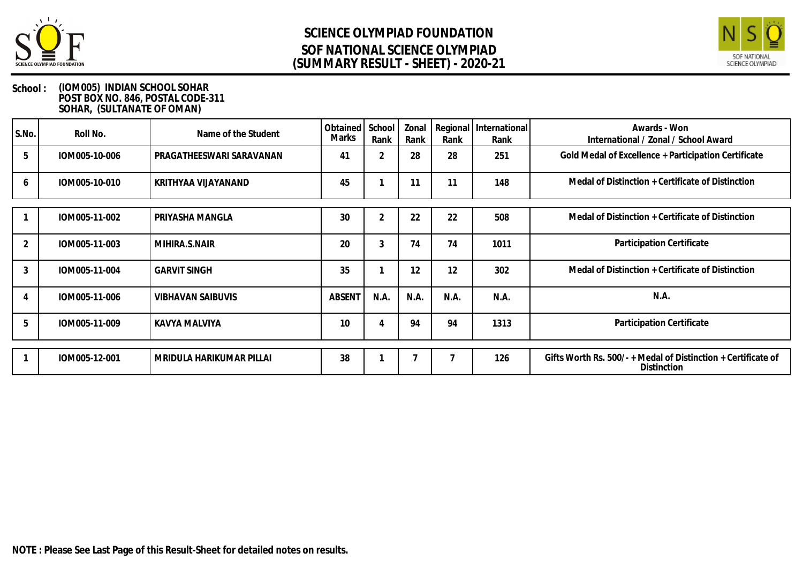



| S.No.        | Roll No.      | Name of the Student      | Obtained<br>Marks | School<br>Rank | Zonal<br>Rank | Rank           | Regional   International<br>Rank | Awards - Won<br>International / Zonal / School Award          |
|--------------|---------------|--------------------------|-------------------|----------------|---------------|----------------|----------------------------------|---------------------------------------------------------------|
| 5            | IOM005-10-006 | PRAGATHEESWARI SARAVANAN | 41                | $\overline{2}$ | 28            | 28             | 251                              | Gold Medal of Excellence + Participation Certificate          |
| <sub>6</sub> | IOM005-10-010 | KRITHYAA VIJAYANAND      | 45                |                | 11            | 11             | 148                              | Medal of Distinction + Certificate of Distinction             |
|              | IOM005-11-002 | PRIYASHA MANGLA          | 30                | 2              | 22            | 22             | 508                              | Medal of Distinction + Certificate of Distinction             |
|              | IOM005-11-003 | MIHIRA.S.NAIR            | 20                | 3              | 74            | 74             | 1011                             | Participation Certificate                                     |
| 3            | IOM005-11-004 | <b>GARVIT SINGH</b>      | 35                |                | 12            | 12             | 302                              | Medal of Distinction + Certificate of Distinction             |
|              | IOM005-11-006 | <b>VIBHAVAN SAIBUVIS</b> | <b>ABSENT</b>     | N.A.           | N.A.          | N.A.           | N.A.                             | N.A.                                                          |
|              | IOM005-11-009 | KAVYA MALVIYA            | 10                |                | 94            | 94             | 1313                             | Participation Certificate                                     |
|              | IOM005-12-001 | MRIDULA HARIKUMAR PILLAI | 38                |                |               | $\overline{7}$ | 126                              | Gifts Worth Rs. 500/- + Medal of Distinction + Certificate of |
|              |               |                          |                   |                |               |                |                                  | Distinction                                                   |